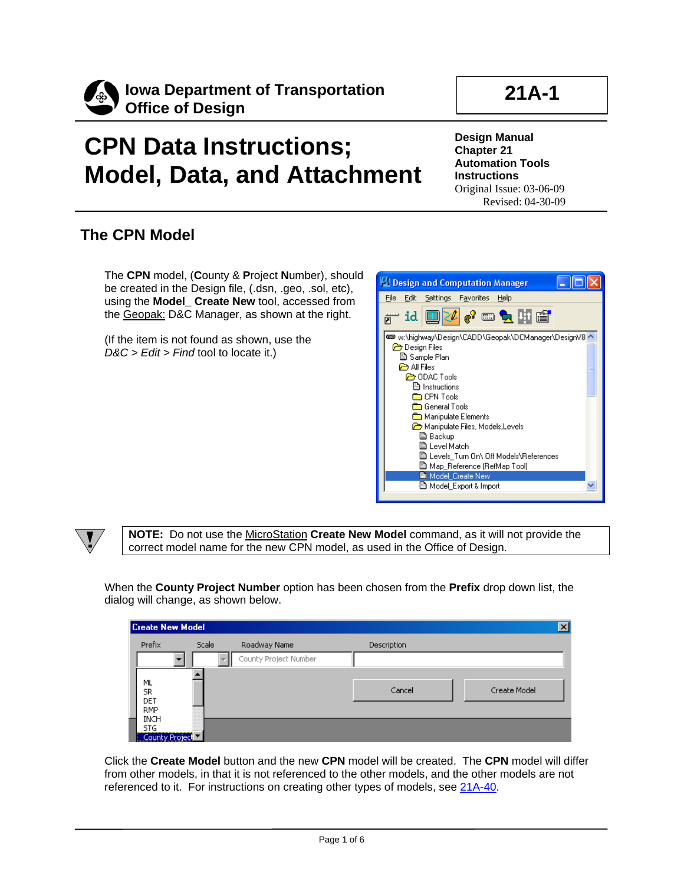

## **CPN Data Instructions; Model, Data, and Attachment**

**Design Manual Chapter 21 Automation Tools Instructions** Original Issue: 03-06-09 Revised: 04-30-09

## **The CPN Model**

The **CPN** model, (**C**ounty & **P**roject **N**umber), should be created in the Design file, (.dsn, .geo, .sol, etc), using the **Model\_ Create New** tool, accessed from the Geopak: D&C Manager, as shown at the right.

(If the item is not found as shown, use the *D&C > Edit > Find* tool to locate it.)





**NOTE:** Do not use the MicroStation **Create New Model** command, as it will not provide the correct model name for the new CPN model, as used in the Office of Design.

When the **County Project Number** option has been chosen from the **Prefix** drop down list, the dialog will change, as shown below.

| Create New Model          |       |                       |                    | $\vert x \vert$ |
|---------------------------|-------|-----------------------|--------------------|-----------------|
| Prefix                    | Scale | Roadway Name          | <b>Description</b> |                 |
|                           |       | County Project Number |                    |                 |
|                           |       |                       |                    |                 |
| ML<br>SR.                 |       |                       | Cancel             | Create Model    |
| DET                       |       |                       |                    |                 |
| <b>RMP</b><br><b>INCH</b> |       |                       |                    |                 |
| STG.                      |       |                       |                    |                 |
| County Project            |       |                       |                    |                 |

Click the **Create Model** button and the new **CPN** model will be created. The **CPN** model will differ from other models, in that it is not referenced to the other models, and the other models are not referenced to it. For instructions on creating other types of models, see 21A-40.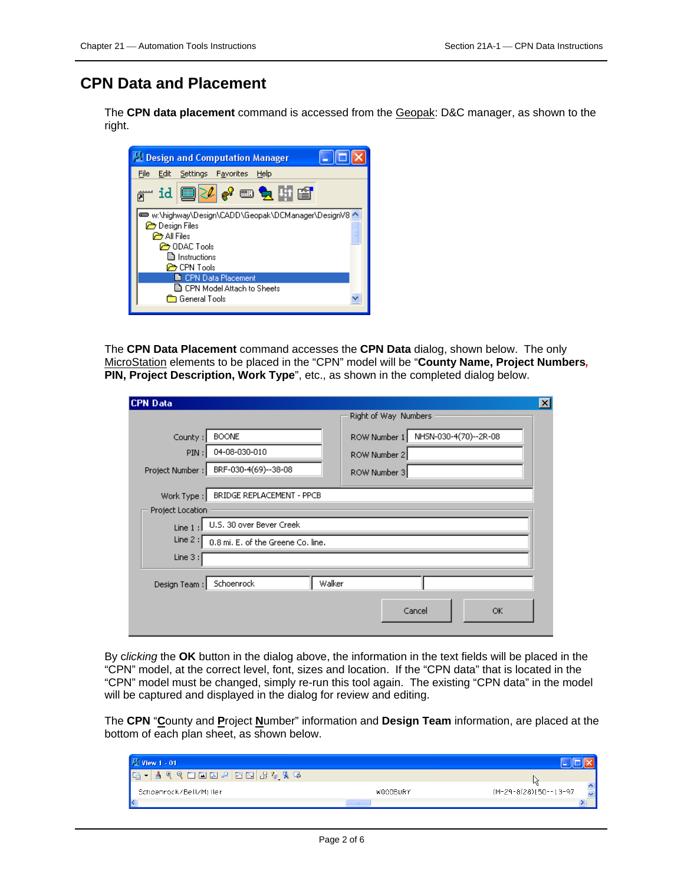## **CPN Data and Placement**

The **CPN data placement** command is accessed from the Geopak: D&C manager, as shown to the right.



The **CPN Data Placement** command accesses the **CPN Data** dialog, shown below. The only MicroStation elements to be placed in the "CPN" model will be "**County Name, Project Numbers***,*  **PIN, Project Description, Work Type**", etc., as shown in the completed dialog below.

| <b>CPN Data</b>                |                                    |        |              |                      |                       | ×l |
|--------------------------------|------------------------------------|--------|--------------|----------------------|-----------------------|----|
|                                |                                    |        |              | Right of Way Numbers |                       |    |
| County:                        | <b>BOONE</b>                       |        | ROW Number 1 |                      | NHSN-030-4(70)--2R-08 |    |
| PIN:                           | 04-08-030-010                      |        | ROW Number 2 |                      |                       |    |
| Project Number :               | BRF-030-4(69)--38-08               |        | ROW Number 3 |                      |                       |    |
| Work Type:<br>Project Location | BRIDGE REPLACEMENT - PPCB          |        |              |                      |                       |    |
| Line 1:                        | U.S. 30 over Bever Creek           |        |              |                      |                       |    |
| Line $2:$                      | 0.8 mi. E. of the Greene Co. line. |        |              |                      |                       |    |
| Line 3:                        |                                    |        |              |                      |                       |    |
| Design Team:                   | Schoenrock                         | Walker |              |                      |                       |    |
|                                |                                    |        |              | Cancel               | ОК                    |    |

By c*licking* the **OK** button in the dialog above, the information in the text fields will be placed in the "CPN" model, at the correct level, font, sizes and location. If the "CPN data" that is located in the "CPN" model must be changed, simply re-run this tool again. The existing "CPN data" in the model will be captured and displayed in the dialog for review and editing.

The **CPN** "**C**ounty and **P**roject **N**umber" information and **Design Team** information, are placed at the bottom of each plan sheet, as shown below.

| View 1 - 01                                                                                                                                                                                                                                                                                                                                                                          |                 |                                            |
|--------------------------------------------------------------------------------------------------------------------------------------------------------------------------------------------------------------------------------------------------------------------------------------------------------------------------------------------------------------------------------------|-----------------|--------------------------------------------|
| $\begin{array}{lll} \mathbb{Q} & \square & \square & \square & \square & \square & \end{array} \begin{array}{lll} \mathbb{Q} & \square & \square & \square & \square & \end{array} \begin{array}{lll} \mathbb{Q} & \square & \square & \square & \square & \square & \end{array} \begin{array}{lll} \mathbb{Q} & \square & \square & \square & \square & \square & \end{array}$<br>⊕ |                 |                                            |
| Schoenrock/Bell/Miller                                                                                                                                                                                                                                                                                                                                                               | <b>WOODBURY</b> | И٢<br>$\triangle$<br>[M-29-8(28)150--13-97 |
|                                                                                                                                                                                                                                                                                                                                                                                      | $-$ 1111 $-$    |                                            |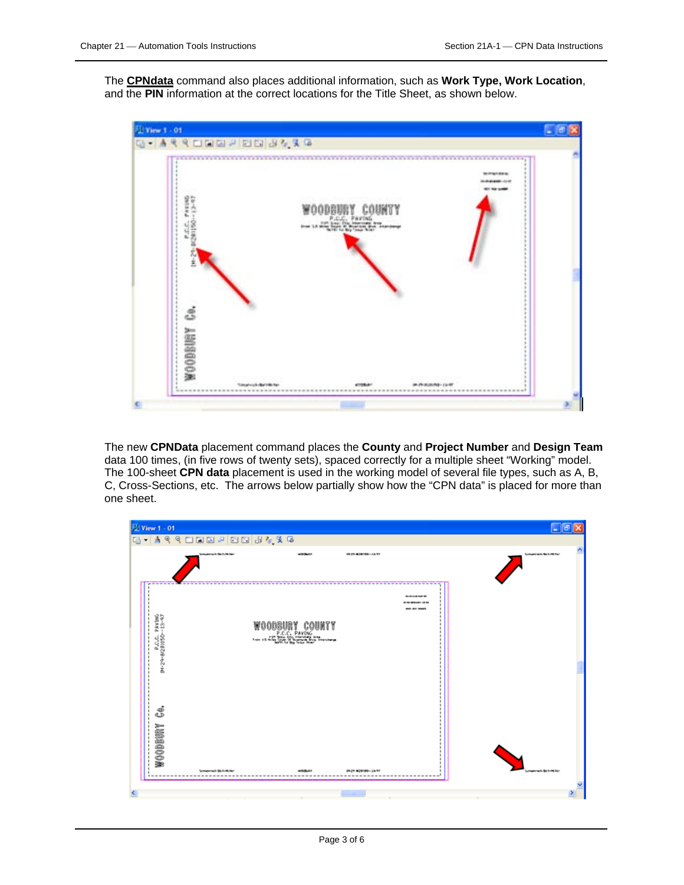The **CPNdata** command also places additional information, such as **Work Type, Work Location**, and the **PIN** information at the correct locations for the Title Sheet, as shown below.



The new **CPNData** placement command places the **County** and **Project Number** and **Design Team** data 100 times, (in five rows of twenty sets), spaced correctly for a multiple sheet "Working" model. The 100-sheet **CPN data** placement is used in the working model of several file types, such as A, B, C, Cross-Sections, etc. The arrows below partially show how the "CPN data" is placed for more than one sheet.

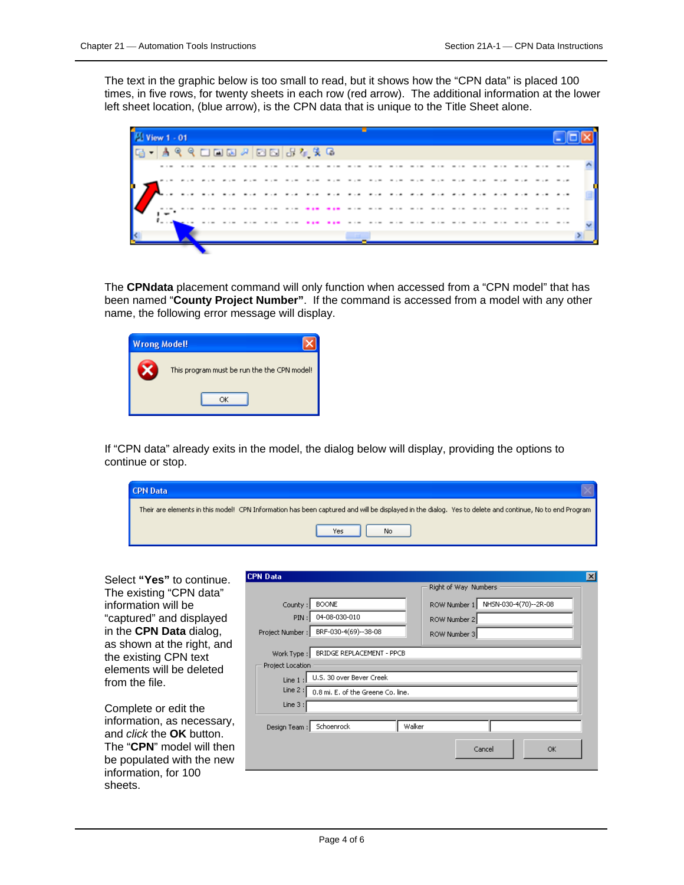The text in the graphic below is too small to read, but it shows how the "CPN data" is placed 100 times, in five rows, for twenty sheets in each row (red arrow). The additional information at the lower left sheet location, (blue arrow), is the CPN data that is unique to the Title Sheet alone.



The **CPNdata** placement command will only function when accessed from a "CPN model" that has been named "**County Project Number"**. If the command is accessed from a model with any other name, the following error message will display.

| <b>Wrong Model!</b> |                                             |
|---------------------|---------------------------------------------|
|                     | This program must be run the the CPN model! |
|                     |                                             |

If "CPN data" already exits in the model, the dialog below will display, providing the options to continue or stop.

| <b>CPN Data</b> |                                                                                                                                                        |  |
|-----------------|--------------------------------------------------------------------------------------------------------------------------------------------------------|--|
|                 | Their are elements in this model! CPN Information has been captured and will be displayed in the dialog. Yes to delete and continue, No to end Program |  |
|                 | No<br><b>Yes</b>                                                                                                                                       |  |

Select **"Yes"** to continue. The existing "CPN data" information will be "captured" and displayed in the **CPN Data** dialog, as shown at the right, and the existing CPN text elements will be deleted from the file.

Complete or edit the information, as necessary, and *click* the **OK** button. The "**CPN**" model will then be populated with the new information, for 100 sheets.

| <b>CPN Data</b>                |                                                                |        |                      |                       |    |
|--------------------------------|----------------------------------------------------------------|--------|----------------------|-----------------------|----|
|                                |                                                                |        | Right of Way Numbers |                       |    |
| County:                        | <b>BOONE</b>                                                   |        | ROW Number 1         | NHSN-030-4(70)--2R-08 |    |
| PIN:                           | 04-08-030-010                                                  |        | ROW Number 2         |                       |    |
| Project Number :               | BRF-030-4(69)--38-08                                           |        | ROW Number 3         |                       |    |
| Work Type:<br>Project Location | BRIDGE REPLACEMENT - PPCB                                      |        |                      |                       |    |
| Line 1:<br>Line $2:$           | U.S. 30 over Bever Creek<br>0.8 mi. E. of the Greene Co. line. |        |                      |                       |    |
| Line 3:                        |                                                                |        |                      |                       |    |
| Design Team :                  | Schoenrock                                                     | Walker |                      |                       |    |
|                                |                                                                |        |                      | Cancel                | OK |
|                                |                                                                |        |                      |                       |    |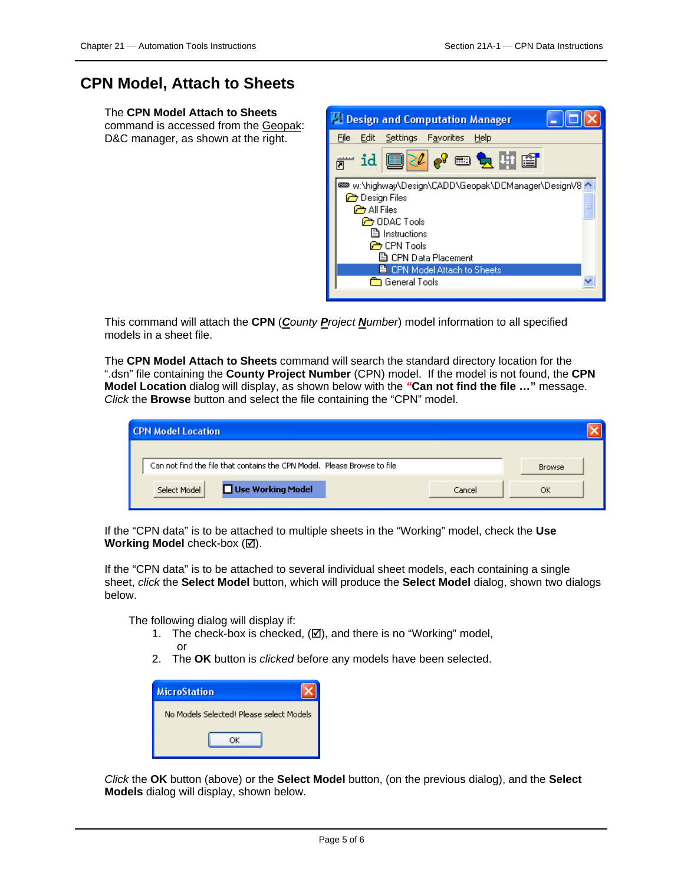## **CPN Model, Attach to Sheets**

The **CPN Model Attach to Sheets** command is accessed from the Geopak: D&C manager, as shown at the right.



This command will attach the **CPN** (*County Project Number*) model information to all specified models in a sheet file.

The **CPN Model Attach to Sheets** command will search the standard directory location for the ".dsn" file containing the **County Project Number** (CPN) model. If the model is not found, the **CPN Model Location** dialog will display, as shown below with the *"***Can not find the file …"** message. *Click* the **Browse** button and select the file containing the "CPN" model.

| <b>CPN Model Location</b>                                                |        |               |
|--------------------------------------------------------------------------|--------|---------------|
| Can not find the file that contains the CPN Model. Please Browse to file |        | <b>Browse</b> |
| Use Working Model<br>Select Model                                        | Cancel | ОК            |

If the "CPN data" is to be attached to multiple sheets in the "Working" model, check the **Use Working Model** check-box ( $\boxtimes$ ).

If the "CPN data" is to be attached to several individual sheet models, each containing a single sheet, *click* the **Select Model** button, which will produce the **Select Model** dialog, shown two dialogs below.

The following dialog will display if:

- 1. The check-box is checked,  $(\boxtimes)$ , and there is no "Working" model, or
- 2. The **OK** button is *clicked* before any models have been selected.

| <b>MicroStation</b>                      |
|------------------------------------------|
| No Models Selected! Please select Models |
| ΩK                                       |

*Click* the **OK** button (above) or the **Select Model** button, (on the previous dialog), and the **Select Models** dialog will display, shown below.